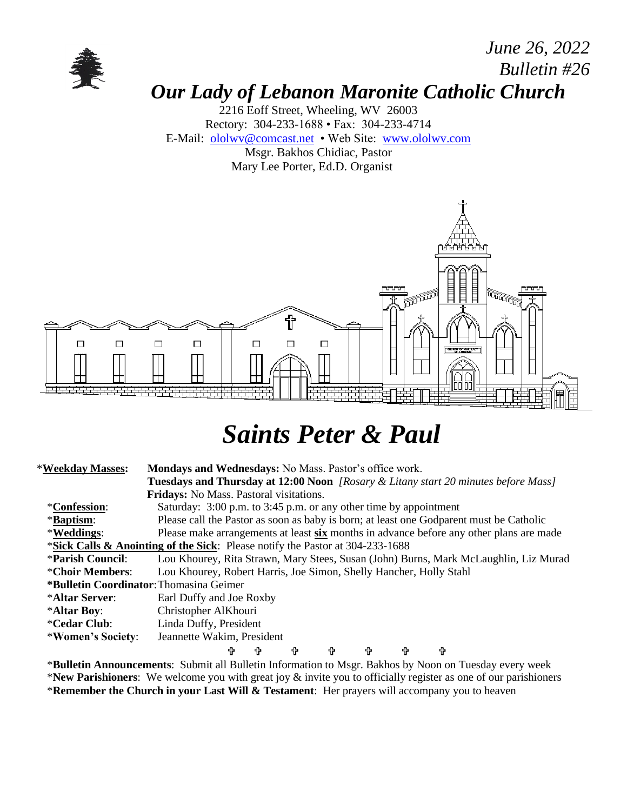

### *June 26, 2022 Bulletin #26 Our Lady of Lebanon Maronite Catholic Church*

2216 Eoff Street, Wheeling, WV 26003 Rectory: 304-233-1688 • Fax: 304-233-4714 E-Mail: [ololwv@comcast.net](mailto:ololwv@comcast.net) • Web Site: [www.ololwv.com](http://www.ololwv.com/) Msgr. Bakhos Chidiac, Pastor Mary Lee Porter, Ed.D. Organist



# *Saints Peter & Paul*

| *Weekday Masses:                        | Mondays and Wednesdays: No Mass. Pastor's office work.                                    |  |
|-----------------------------------------|-------------------------------------------------------------------------------------------|--|
|                                         | <b>Tuesdays and Thursday at 12:00 Noon</b> [Rosary & Litany start 20 minutes before Mass] |  |
|                                         | Fridays: No Mass. Pastoral visitations.                                                   |  |
| <i>*Confession:</i>                     | Saturday: 3:00 p.m. to 3:45 p.m. or any other time by appointment                         |  |
| *Baptism:                               | Please call the Pastor as soon as baby is born; at least one Godparent must be Catholic   |  |
| *Weddings:                              | Please make arrangements at least six months in advance before any other plans are made   |  |
|                                         | <b>*Sick Calls &amp; Anointing of the Sick:</b> Please notify the Pastor at 304-233-1688  |  |
| <b>*Parish Council:</b>                 | Lou Khourey, Rita Strawn, Mary Stees, Susan (John) Burns, Mark McLaughlin, Liz Murad      |  |
| *Choir Members:                         | Lou Khourey, Robert Harris, Joe Simon, Shelly Hancher, Holly Stahl                        |  |
| *Bulletin Coordinator: Thomasina Geimer |                                                                                           |  |
| *Altar Server:                          | Earl Duffy and Joe Roxby                                                                  |  |
| *Altar Boy:                             | Christopher AlKhouri                                                                      |  |
| <i><b>*Cedar Club:</b></i>              | Linda Duffy, President                                                                    |  |
| *Women's Society:                       | Jeannette Wakim, President                                                                |  |
|                                         | ⇧<br>╬<br>令<br>╬<br>Ϋ<br>4<br>令                                                           |  |

\***Bulletin Announcements**: Submit all Bulletin Information to Msgr. Bakhos by Noon on Tuesday every week \***New Parishioners**: We welcome you with great joy & invite you to officially register as one of our parishioners \***Remember the Church in your Last Will & Testament**: Her prayers will accompany you to heaven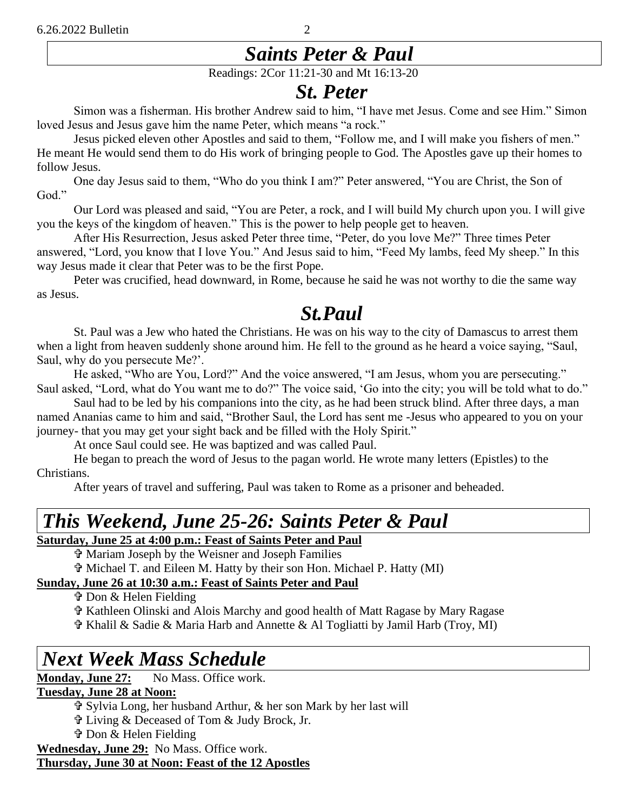## *Saints Peter & Paul*

Readings: 2Cor 11:21-30 and Mt 16:13-20

#### *St. Peter*

Simon was a fisherman. His brother Andrew said to him, "I have met Jesus. Come and see Him." Simon loved Jesus and Jesus gave him the name Peter, which means "a rock."

Jesus picked eleven other Apostles and said to them, "Follow me, and I will make you fishers of men." He meant He would send them to do His work of bringing people to God. The Apostles gave up their homes to follow Jesus.

One day Jesus said to them, "Who do you think I am?" Peter answered, "You are Christ, the Son of God."

Our Lord was pleased and said, "You are Peter, a rock, and I will build My church upon you. I will give you the keys of the kingdom of heaven." This is the power to help people get to heaven.

After His Resurrection, Jesus asked Peter three time, "Peter, do you love Me?" Three times Peter answered, "Lord, you know that I love You." And Jesus said to him, "Feed My lambs, feed My sheep." In this way Jesus made it clear that Peter was to be the first Pope.

Peter was crucified, head downward, in Rome, because he said he was not worthy to die the same way as Jesus.

#### *St.Paul*

St. Paul was a Jew who hated the Christians. He was on his way to the city of Damascus to arrest them when a light from heaven suddenly shone around him. He fell to the ground as he heard a voice saying, "Saul, Saul, why do you persecute Me?'.

He asked, "Who are You, Lord?" And the voice answered, "I am Jesus, whom you are persecuting." Saul asked, "Lord, what do You want me to do?" The voice said, 'Go into the city; you will be told what to do."

Saul had to be led by his companions into the city, as he had been struck blind. After three days, a man named Ananias came to him and said, "Brother Saul, the Lord has sent me -Jesus who appeared to you on your journey- that you may get your sight back and be filled with the Holy Spirit."

At once Saul could see. He was baptized and was called Paul.

He began to preach the word of Jesus to the pagan world. He wrote many letters (Epistles) to the Christians.

After years of travel and suffering, Paul was taken to Rome as a prisoner and beheaded.

### *This Weekend, June 25-26: Saints Peter & Paul*

**Saturday, June 25 at 4:00 p.m.: Feast of Saints Peter and Paul**

Mariam Joseph by the Weisner and Joseph Families

Michael T. and Eileen M. Hatty by their son Hon. Michael P. Hatty (MI)

#### **Sunday, June 26 at 10:30 a.m.: Feast of Saints Peter and Paul**

- Don & Helen Fielding
- Kathleen Olinski and Alois Marchy and good health of Matt Ragase by Mary Ragase
- Khalil & Sadie & Maria Harb and Annette & Al Togliatti by Jamil Harb (Troy, MI)

#### *Next Week Mass Schedule*

**Monday, June 27:** No Mass. Office work.

#### **Tuesday, June 28 at Noon:**

- Sylvia Long, her husband Arthur, & her son Mark by her last will
- Living & Deceased of Tom & Judy Brock, Jr.
- Don & Helen Fielding

**Wednesday, June 29:** No Mass. Office work.

**Thursday, June 30 at Noon: Feast of the 12 Apostles**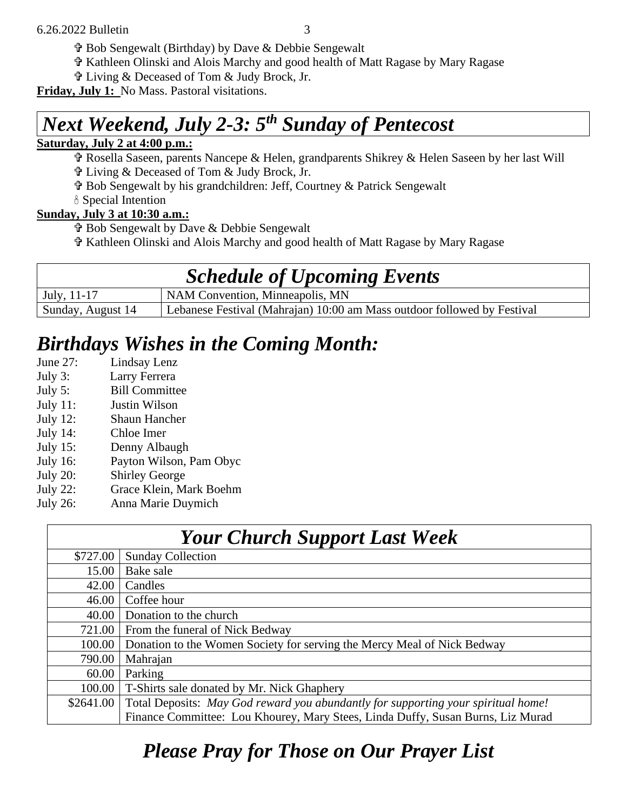6.26.2022 Bulletin 3

- Bob Sengewalt (Birthday) by Dave & Debbie Sengewalt
- Kathleen Olinski and Alois Marchy and good health of Matt Ragase by Mary Ragase
- Living & Deceased of Tom & Judy Brock, Jr.

**Friday, July 1:** No Mass. Pastoral visitations.

## *Next Weekend, July 2-3: 5 th Sunday of Pentecost*

#### **Saturday, July 2 at 4:00 p.m.:**

- Rosella Saseen, parents Nancepe & Helen, grandparents Shikrey & Helen Saseen by her last Will
- Living & Deceased of Tom & Judy Brock, Jr.
- Bob Sengewalt by his grandchildren: Jeff, Courtney & Patrick Sengewalt
- Special Intention

#### **Sunday, July 3 at 10:30 a.m.:**

- Bob Sengewalt by Dave & Debbie Sengewalt
- Kathleen Olinski and Alois Marchy and good health of Matt Ragase by Mary Ragase

## *Schedule of Upcoming Events*

| $1$ July, 11-17   | NAM Convention, Minneapolis, MN                                         |
|-------------------|-------------------------------------------------------------------------|
| Sunday, August 14 | Lebanese Festival (Mahrajan) 10:00 am Mass outdoor followed by Festival |

## *Birthdays Wishes in the Coming Month:*

- June 27: Lindsay Lenz July 3: Larry Ferrera July 5: Bill Committee July 11: Justin Wilson
- July 12: Shaun Hancher
- July 14: Chloe Imer
- July 15: Denny Albaugh
- July 16: Payton Wilson, Pam Obyc
- July 20: Shirley George
- July 22: Grace Klein, Mark Boehm
- July 26: Anna Marie Duymich

| <b>Your Church Support Last Week</b> |                                                                                   |  |
|--------------------------------------|-----------------------------------------------------------------------------------|--|
| \$727.00                             | <b>Sunday Collection</b>                                                          |  |
| 15.00                                | Bake sale                                                                         |  |
| 42.00                                | Candles                                                                           |  |
| 46.00                                | Coffee hour                                                                       |  |
| 40.00                                | Donation to the church                                                            |  |
| 721.00                               | From the funeral of Nick Bedway                                                   |  |
| 100.00                               | Donation to the Women Society for serving the Mercy Meal of Nick Bedway           |  |
| 790.00                               | Mahrajan                                                                          |  |
| 60.00                                | Parking                                                                           |  |
| 100.00                               | T-Shirts sale donated by Mr. Nick Ghaphery                                        |  |
| \$2641.00                            | Total Deposits: May God reward you abundantly for supporting your spiritual home! |  |
|                                      | Finance Committee: Lou Khourey, Mary Stees, Linda Duffy, Susan Burns, Liz Murad   |  |

## *Please Pray for Those on Our Prayer List*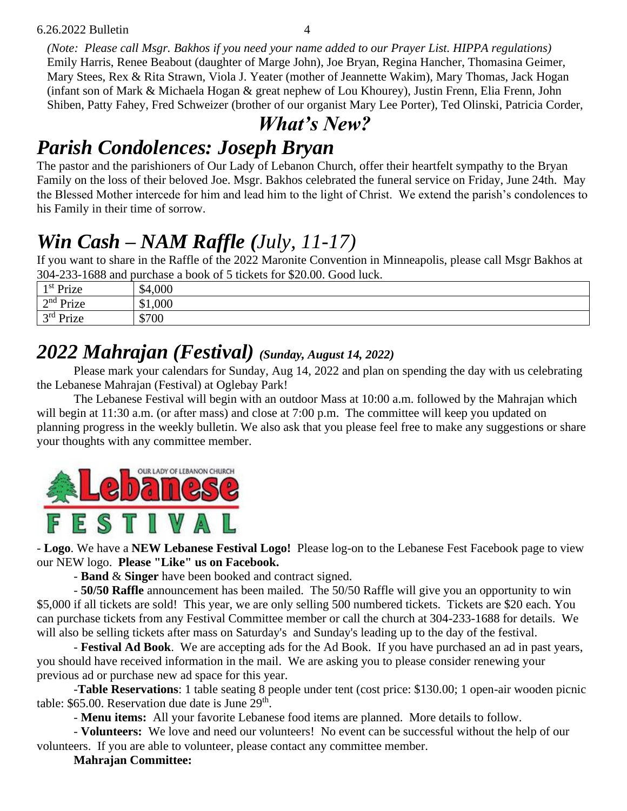*(Note: Please call Msgr. Bakhos if you need your name added to our Prayer List. HIPPA regulations)* Emily Harris, Renee Beabout (daughter of Marge John), Joe Bryan, Regina Hancher, Thomasina Geimer, Mary Stees, Rex & Rita Strawn, Viola J. Yeater (mother of Jeannette Wakim), Mary Thomas, Jack Hogan (infant son of Mark & Michaela Hogan & great nephew of Lou Khourey), Justin Frenn, Elia Frenn, John Shiben, Patty Fahey, Fred Schweizer (brother of our organist Mary Lee Porter), Ted Olinski, Patricia Corder,

### *What's New?*

## *Parish Condolences: Joseph Bryan*

The pastor and the parishioners of Our Lady of Lebanon Church, offer their heartfelt sympathy to the Bryan Family on the loss of their beloved Joe. Msgr. Bakhos celebrated the funeral service on Friday, June 24th. May the Blessed Mother intercede for him and lead him to the light of Christ. We extend the parish's condolences to his Family in their time of sorrow.

# *Win Cash – NAM Raffle (July, 11-17)*

If you want to share in the Raffle of the 2022 Maronite Convention in Minneapolis, please call Msgr Bakhos at 304-233-1688 and purchase a book of 5 tickets for \$20.00. Good luck.

| $1st$ Prize                  | \$4,000          |
|------------------------------|------------------|
| $\gamma$ <sup>nd</sup> Prize | \$1,000<br>- ሮ ተ |
| $3rd$ Prize                  | \$700            |

### *2022 Mahrajan (Festival) (Sunday, August 14, 2022)*

Please mark your calendars for Sunday, Aug 14, 2022 and plan on spending the day with us celebrating the Lebanese Mahrajan (Festival) at Oglebay Park!

The Lebanese Festival will begin with an outdoor Mass at 10:00 a.m. followed by the Mahrajan which will begin at 11:30 a.m. (or after mass) and close at 7:00 p.m. The committee will keep you updated on planning progress in the weekly bulletin. We also ask that you please feel free to make any suggestions or share your thoughts with any committee member.



- **Logo**. We have a **NEW Lebanese Festival Logo!** Please log-on to the Lebanese Fest Facebook page to view our NEW logo. **Please "Like" us on Facebook.**

- **Band** & **Singer** have been booked and contract signed.

- **50/50 Raffle** announcement has been mailed. The 50/50 Raffle will give you an opportunity to win \$5,000 if all tickets are sold! This year, we are only selling 500 numbered tickets. Tickets are \$20 each. You can purchase tickets from any Festival Committee member or call the church at 304-233-1688 for details. We will also be selling tickets after mass on Saturday's and Sunday's leading up to the day of the festival.

- **Festival Ad Book**. We are accepting ads for the Ad Book. If you have purchased an ad in past years, you should have received information in the mail. We are asking you to please consider renewing your previous ad or purchase new ad space for this year.

-**Table Reservations**: 1 table seating 8 people under tent (cost price: \$130.00; 1 open-air wooden picnic table:  $$65.00$ . Reservation due date is June  $29<sup>th</sup>$ .

- **Menu items:** All your favorite Lebanese food items are planned. More details to follow.

- **Volunteers:** We love and need our volunteers! No event can be successful without the help of our volunteers. If you are able to volunteer, please contact any committee member.

**Mahrajan Committee:**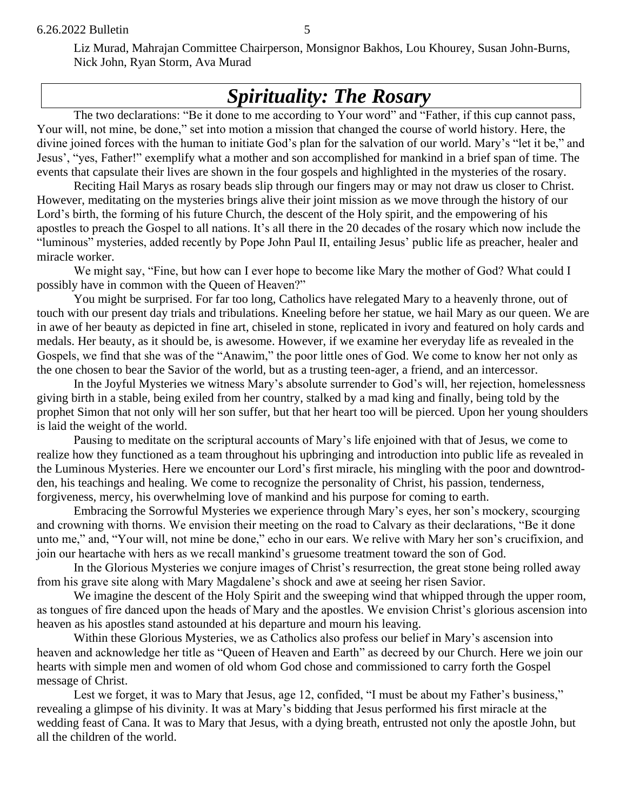Liz Murad, Mahrajan Committee Chairperson, Monsignor Bakhos, Lou Khourey, Susan John-Burns, Nick John, Ryan Storm, Ava Murad

## *Spirituality: The Rosary*

The two declarations: "Be it done to me according to Your word" and "Father, if this cup cannot pass, Your will, not mine, be done," set into motion a mission that changed the course of world history. Here, the divine joined forces with the human to initiate God's plan for the salvation of our world. Mary's "let it be," and Jesus', "yes, Father!" exemplify what a mother and son accomplished for mankind in a brief span of time. The events that capsulate their lives are shown in the four gospels and highlighted in the mysteries of the rosary.

Reciting Hail Marys as rosary beads slip through our fingers may or may not draw us closer to Christ. However, meditating on the mysteries brings alive their joint mission as we move through the history of our Lord's birth, the forming of his future Church, the descent of the Holy spirit, and the empowering of his apostles to preach the Gospel to all nations. It's all there in the 20 decades of the rosary which now include the "luminous" mysteries, added recently by Pope John Paul II, entailing Jesus' public life as preacher, healer and miracle worker.

We might say, "Fine, but how can I ever hope to become like Mary the mother of God? What could I possibly have in common with the Queen of Heaven?"

You might be surprised. For far too long, Catholics have relegated Mary to a heavenly throne, out of touch with our present day trials and tribulations. Kneeling before her statue, we hail Mary as our queen. We are in awe of her beauty as depicted in fine art, chiseled in stone, replicated in ivory and featured on holy cards and medals. Her beauty, as it should be, is awesome. However, if we examine her everyday life as revealed in the Gospels, we find that she was of the "Anawim," the poor little ones of God. We come to know her not only as the one chosen to bear the Savior of the world, but as a trusting teen-ager, a friend, and an intercessor.

In the Joyful Mysteries we witness Mary's absolute surrender to God's will, her rejection, homelessness giving birth in a stable, being exiled from her country, stalked by a mad king and finally, being told by the prophet Simon that not only will her son suffer, but that her heart too will be pierced. Upon her young shoulders is laid the weight of the world.

Pausing to meditate on the scriptural accounts of Mary's life enjoined with that of Jesus, we come to realize how they functioned as a team throughout his upbringing and introduction into public life as revealed in the Luminous Mysteries. Here we encounter our Lord's first miracle, his mingling with the poor and downtrodden, his teachings and healing. We come to recognize the personality of Christ, his passion, tenderness, forgiveness, mercy, his overwhelming love of mankind and his purpose for coming to earth.

Embracing the Sorrowful Mysteries we experience through Mary's eyes, her son's mockery, scourging and crowning with thorns. We envision their meeting on the road to Calvary as their declarations, "Be it done unto me," and, "Your will, not mine be done," echo in our ears. We relive with Mary her son's crucifixion, and join our heartache with hers as we recall mankind's gruesome treatment toward the son of God.

In the Glorious Mysteries we conjure images of Christ's resurrection, the great stone being rolled away from his grave site along with Mary Magdalene's shock and awe at seeing her risen Savior.

We imagine the descent of the Holy Spirit and the sweeping wind that whipped through the upper room, as tongues of fire danced upon the heads of Mary and the apostles. We envision Christ's glorious ascension into heaven as his apostles stand astounded at his departure and mourn his leaving.

Within these Glorious Mysteries, we as Catholics also profess our belief in Mary's ascension into heaven and acknowledge her title as "Queen of Heaven and Earth" as decreed by our Church. Here we join our hearts with simple men and women of old whom God chose and commissioned to carry forth the Gospel message of Christ.

Lest we forget, it was to Mary that Jesus, age 12, confided, "I must be about my Father's business," revealing a glimpse of his divinity. It was at Mary's bidding that Jesus performed his first miracle at the wedding feast of Cana. It was to Mary that Jesus, with a dying breath, entrusted not only the apostle John, but all the children of the world.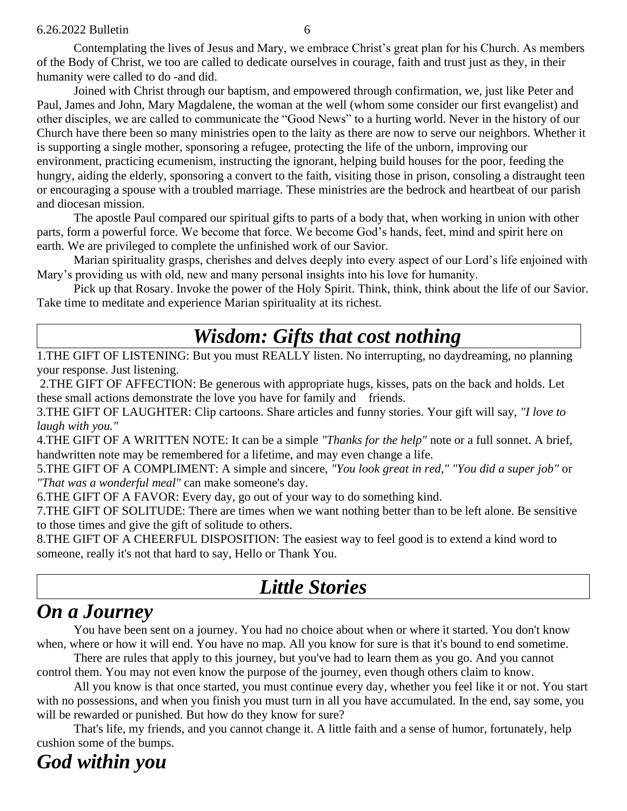Contemplating the lives of Jesus and Mary, we embrace Christ's great plan for his Church. As members of the Body of Christ, we too are called to dedicate ourselves in courage, faith and trust just as they, in their humanity were called to do -and did.

Joined with Christ through our baptism, and empowered through confirmation, we, just like Peter and Paul, James and John, Mary Magdalene, the woman at the well (whom some consider our first evangelist) and other disciples, we are called to communicate the "Good News" to a hurting world. Never in the history of our Church have there been so many ministries open to the laity as there are now to serve our neighbors. Whether it is supporting a single mother, sponsoring a refugee, protecting the life of the unborn, improving our environment, practicing ecumenism, instructing the ignorant, helping build houses for the poor, feeding the hungry, aiding the elderly, sponsoring a convert to the faith, visiting those in prison, consoling a distraught teen or encouraging a spouse with a troubled marriage. These ministries are the bedrock and heartbeat of our parish and diocesan mission.

The apostle Paul compared our spiritual gifts to parts of a body that, when working in union with other parts, form a powerful force. We become that force. We become God's hands, feet, mind and spirit here on earth. We are privileged to complete the unfinished work of our Savior.

Marian spirituality grasps, cherishes and delves deeply into every aspect of our Lord's life enjoined with Mary's providing us with old, new and many personal insights into his love for humanity.

Pick up that Rosary. Invoke the power of the Holy Spirit. Think, think, think about the life of our Savior. Take time to meditate and experience Marian spirituality at its richest.

#### *Wisdom: Gifts that cost nothing*

1.THE GIFT OF LISTENING: But you must REALLY listen. No interrupting, no daydreaming, no planning your response. Just listening.

2.THE GIFT OF AFFECTION: Be generous with appropriate hugs, kisses, pats on the back and holds. Let these small actions demonstrate the love you have for family and friends.

3.THE GIFT OF LAUGHTER: Clip cartoons. Share articles and funny stories. Your gift will say, *"I love to laugh with you."*

4.THE GIFT OF A WRITTEN NOTE: It can be a simple *"Thanks for the help"* note or a full sonnet. A brief, handwritten note may be remembered for a lifetime, and may even change a life.

5.THE GIFT OF A COMPLIMENT: A simple and sincere, *"You look great in red," "You did a super job"* or *"That was a wonderful meal"* can make someone's day.

6.THE GIFT OF A FAVOR: Every day, go out of your way to do something kind.

7.THE GIFT OF SOLITUDE: There are times when we want nothing better than to be left alone. Be sensitive to those times and give the gift of solitude to others.

8.THE GIFT OF A CHEERFUL DISPOSITION: The easiest way to feel good is to extend a kind word to someone, really it's not that hard to say, Hello or Thank You.

#### *Little Stories*

### *On a Journey*

You have been sent on a journey. You had no choice about when or where it started. You don't know when, where or how it will end. You have no map. All you know for sure is that it's bound to end sometime.

There are rules that apply to this journey, but you've had to learn them as you go. And you cannot control them. You may not even know the purpose of the journey, even though others claim to know.

All you know is that once started, you must continue every day, whether you feel like it or not. You start with no possessions, and when you finish you must turn in all you have accumulated. In the end, say some, you will be rewarded or punished. But how do they know for sure?

That's life, my friends, and you cannot change it. A little faith and a sense of humor, fortunately, help cushion some of the bumps.

### *God within you*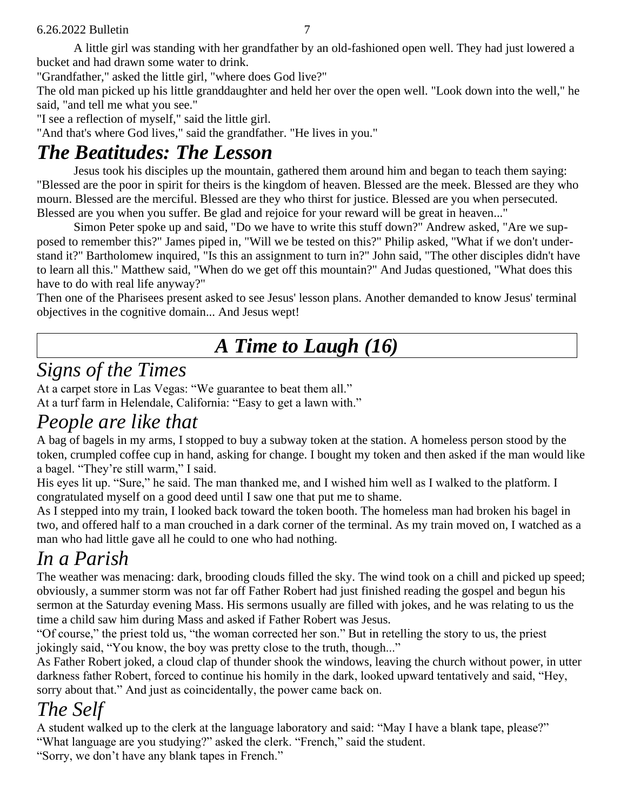A little girl was standing with her grandfather by an old-fashioned open well. They had just lowered a bucket and had drawn some water to drink.

"Grandfather," asked the little girl, "where does God live?"

The old man picked up his little granddaughter and held her over the open well. "Look down into the well," he said, "and tell me what you see."

"I see a reflection of myself," said the little girl.

"And that's where God lives," said the grandfather. "He lives in you."

## *The Beatitudes: The Lesson*

Jesus took his disciples up the mountain, gathered them around him and began to teach them saying: "Blessed are the poor in spirit for theirs is the kingdom of heaven. Blessed are the meek. Blessed are they who mourn. Blessed are the merciful. Blessed are they who thirst for justice. Blessed are you when persecuted. Blessed are you when you suffer. Be glad and rejoice for your reward will be great in heaven..."

Simon Peter spoke up and said, "Do we have to write this stuff down?" Andrew asked, "Are we supposed to remember this?" James piped in, "Will we be tested on this?" Philip asked, "What if we don't understand it?" Bartholomew inquired, "Is this an assignment to turn in?" John said, "The other disciples didn't have to learn all this." Matthew said, "When do we get off this mountain?" And Judas questioned, "What does this have to do with real life anyway?"

Then one of the Pharisees present asked to see Jesus' lesson plans. Another demanded to know Jesus' terminal objectives in the cognitive domain... And Jesus wept!

## *A Time to Laugh (16)*

## *Signs of the Times*

At a carpet store in Las Vegas: "We guarantee to beat them all." At a turf farm in Helendale, California: "Easy to get a lawn with."

### *People are like that*

A bag of bagels in my arms, I stopped to buy a subway token at the station. A homeless person stood by the token, crumpled coffee cup in hand, asking for change. I bought my token and then asked if the man would like a bagel. "They're still warm," I said.

His eyes lit up. "Sure," he said. The man thanked me, and I wished him well as I walked to the platform. I congratulated myself on a good deed until I saw one that put me to shame.

As I stepped into my train, I looked back toward the token booth. The homeless man had broken his bagel in two, and offered half to a man crouched in a dark corner of the terminal. As my train moved on, I watched as a man who had little gave all he could to one who had nothing.

## *In a Parish*

The weather was menacing: dark, brooding clouds filled the sky. The wind took on a chill and picked up speed; obviously, a summer storm was not far off Father Robert had just finished reading the gospel and begun his sermon at the Saturday evening Mass. His sermons usually are filled with jokes, and he was relating to us the time a child saw him during Mass and asked if Father Robert was Jesus.

"Of course," the priest told us, "the woman corrected her son." But in retelling the story to us, the priest jokingly said, "You know, the boy was pretty close to the truth, though..."

As Father Robert joked, a cloud clap of thunder shook the windows, leaving the church without power, in utter darkness father Robert, forced to continue his homily in the dark, looked upward tentatively and said, "Hey, sorry about that." And just as coincidentally, the power came back on.

### *The Self*

A student walked up to the clerk at the language laboratory and said: "May I have a blank tape, please?" "What language are you studying?" asked the clerk. "French," said the student.

"Sorry, we don't have any blank tapes in French."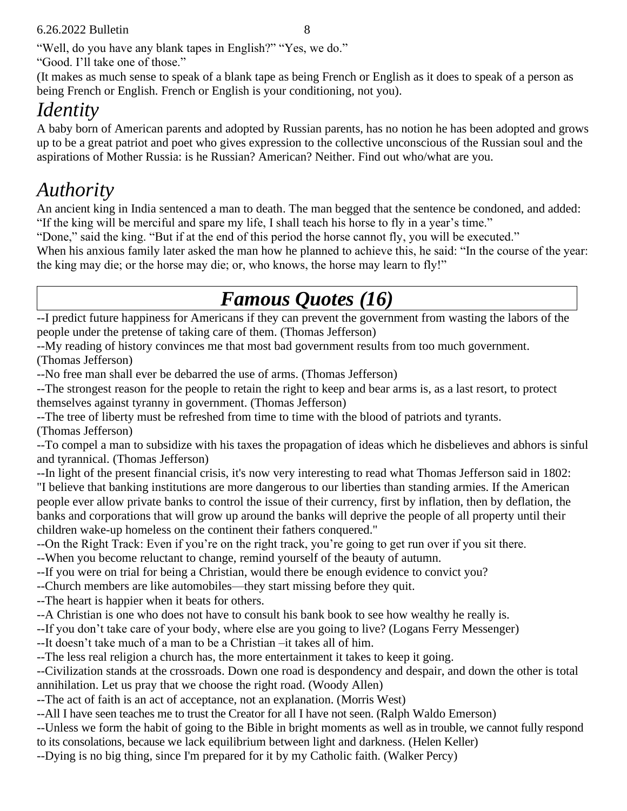#### 6.26.2022 Bulletin 8

"Well, do you have any blank tapes in English?" "Yes, we do."

"Good. I'll take one of those."

(It makes as much sense to speak of a blank tape as being French or English as it does to speak of a person as being French or English. French or English is your conditioning, not you).

## *Identity*

A baby born of American parents and adopted by Russian parents, has no notion he has been adopted and grows up to be a great patriot and poet who gives expression to the collective unconscious of the Russian soul and the aspirations of Mother Russia: is he Russian? American? Neither. Find out who/what are you.

### *Authority*

An ancient king in India sentenced a man to death. The man begged that the sentence be condoned, and added: "If the king will be merciful and spare my life, I shall teach his horse to fly in a year's time."

"Done," said the king. "But if at the end of this period the horse cannot fly, you will be executed."

When his anxious family later asked the man how he planned to achieve this, he said: "In the course of the year: the king may die; or the horse may die; or, who knows, the horse may learn to fly!"

## *Famous Quotes (16)*

--I predict future happiness for Americans if they can prevent the government from wasting the labors of the people under the pretense of taking care of them. (Thomas Jefferson)

--My reading of history convinces me that most bad government results from too much government. (Thomas Jefferson)

--No free man shall ever be debarred the use of arms. (Thomas Jefferson)

--The strongest reason for the people to retain the right to keep and bear arms is, as a last resort, to protect themselves against tyranny in government. (Thomas Jefferson)

--The tree of liberty must be refreshed from time to time with the blood of patriots and tyrants. (Thomas Jefferson)

--To compel a man to subsidize with his taxes the propagation of ideas which he disbelieves and abhors is sinful and tyrannical. (Thomas Jefferson)

--In light of the present financial crisis, it's now very interesting to read what Thomas Jefferson said in 1802: "I believe that banking institutions are more dangerous to our liberties than standing armies. If the American people ever allow private banks to control the issue of their currency, first by inflation, then by deflation, the banks and corporations that will grow up around the banks will deprive the people of all property until their children wake-up homeless on the continent their fathers conquered."

--On the Right Track: Even if you're on the right track, you're going to get run over if you sit there.

--When you become reluctant to change, remind yourself of the beauty of autumn.

--If you were on trial for being a Christian, would there be enough evidence to convict you?

--Church members are like automobiles—they start missing before they quit.

--The heart is happier when it beats for others.

--A Christian is one who does not have to consult his bank book to see how wealthy he really is.

--If you don't take care of your body, where else are you going to live? (Logans Ferry Messenger)

--It doesn't take much of a man to be a Christian –it takes all of him.

--The less real religion a church has, the more entertainment it takes to keep it going.

--Civilization stands at the crossroads. Down one road is despondency and despair, and down the other is total annihilation. Let us pray that we choose the right road. (Woody Allen)

--The act of faith is an act of acceptance, not an explanation. (Morris West)

--All I have seen teaches me to trust the Creator for all I have not seen. (Ralph Waldo Emerson)

--Unless we form the habit of going to the Bible in bright moments as well as in trouble, we cannot fully respond to its consolations, because we lack equilibrium between light and darkness. (Helen Keller)

--Dying is no big thing, since I'm prepared for it by my Catholic faith. (Walker Percy)